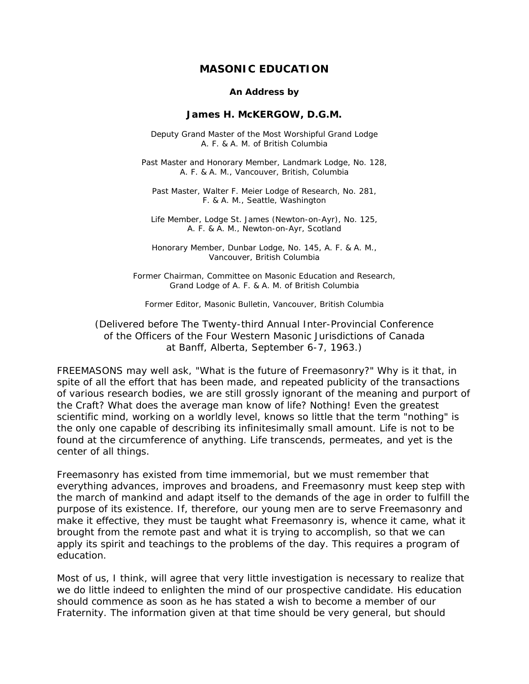# **MASONIC EDUCATION**

#### *An Address by*

#### **James H. McKERGOW, D.G.M.**

*Deputy Grand Master of the Most Worshipful Grand Lodge A. F. & A. M. of British Columbia* 

*Past Master and Honorary Member, Landmark Lodge, No. 128, A. F. & A. M., Vancouver, British, Columbia* 

*Past Master, Walter F. Meier Lodge of Research, No. 281, F. & A. M., Seattle, Washington* 

*Life Member, Lodge St. James (Newton-on-Ayr), No. 125, A. F. & A. M., Newton-on-Ayr, Scotland* 

*Honorary Member, Dunbar Lodge, No. 145, A. F. & A. M., Vancouver, British Columbia* 

*Former Chairman, Committee on Masonic Education and Research, Grand Lodge of A. F. & A. M. of British Columbia* 

*Former Editor, Masonic Bulletin, Vancouver, British Columbia* 

(Delivered before The Twenty-third Annual Inter-Provincial Conference of the Officers of the Four Western Masonic Jurisdictions of Canada at Banff, Alberta, September 6-7, 1963.)

FREEMASONS may well ask, "What is the future of Freemasonry?" Why is it that, in spite of all the effort that has been made, and repeated publicity of the transactions of various research bodies, we are still grossly ignorant of the meaning and purport of the Craft? What does the average man know of life? Nothing! Even the greatest scientific mind, working on a worldly level, knows so little that the term "nothing" is the only one capable of describing its infinitesimally small amount. Life is not to be found at the circumference of anything. Life transcends, permeates, and yet is the center of all things.

Freemasonry has existed from time immemorial, but we must remember that everything advances, improves and broadens, and Freemasonry must keep step with the march of mankind and adapt itself to the demands of the age in order to fulfill the purpose of its existence. If, therefore, our young men are to serve Freemasonry and make it effective, they must be taught what Freemasonry is, whence it came, what it brought from the remote past and what it is trying to accomplish, so that we can apply its spirit and teachings to the problems of the day. This requires a program of education.

Most of us, I think, will agree that very little investigation is necessary to realize that we do little indeed to enlighten the mind of our prospective candidate. His education should commence as soon as he has stated a wish to become a member of our Fraternity. The information given at that time should be very general, but should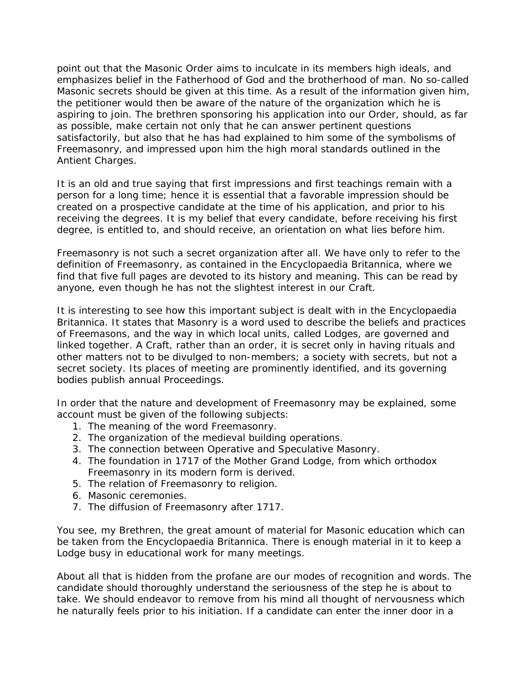point out that the Masonic Order aims to inculcate in its members high ideals, and emphasizes belief in the Fatherhood of God and the brotherhood of man. No so-called Masonic secrets should be given at this time. As a result of the information given him, the petitioner would then be aware of the nature of the organization which he is aspiring to join. The brethren sponsoring his application into our Order, should, as far as possible, make certain not only that he can answer pertinent questions satisfactorily, but also that he has had explained to him some of the symbolisms of Freemasonry, and impressed upon him the high moral standards outlined in the Antient Charges.

It is an old and true saying that first impressions and first teachings remain with a person for a long time; hence it is essential that a favorable impression should be created on a prospective candidate at the time of his application, and prior to his receiving the degrees. It is my belief that every candidate, before receiving his first degree, is entitled to, and should receive, an orientation on what lies before him.

Freemasonry is not such a secret organization after all. We have only to refer to the definition of Freemasonry, as contained in the Encyclopaedia Britannica, where we find that five full pages are devoted to its history and meaning. This can be read by anyone, even though he has not the slightest interest in our Craft.

It is interesting to see how this important subject is dealt with in the Encyclopaedia Britannica. It states that Masonry is a word used to describe the beliefs and practices of Freemasons, and the way in which local units, called Lodges, are governed and linked together. A Craft, rather than an order, it is secret only in having rituals and other matters not to be divulged to non-members; a society with secrets, but not a secret society. Its places of meeting are prominently identified, and its governing bodies publish annual Proceedings.

In order that the nature and development of Freemasonry may be explained, some account must be given of the following subjects:

- 1. The meaning of the word Freemasonry.
- 2. The organization of the medieval building operations.
- 3. The connection between Operative and Speculative Masonry.
- 4. The foundation in 1717 of the Mother Grand Lodge, from which orthodox Freemasonry in its modern form is derived.
- 5. The relation of Freemasonry to religion.
- 6. Masonic ceremonies.
- 7. The diffusion of Freemasonry after 1717.

You see, my Brethren, the great amount of material for Masonic education which can be taken from the Encyclopaedia Britannica. There is enough material in it to keep a Lodge busy in educational work for many meetings.

About all that is hidden from the profane are our modes of recognition and words. The candidate should thoroughly understand the seriousness of the step he is about to take. We should endeavor to remove from his mind all thought of nervousness which he naturally feels prior to his initiation. If a candidate can enter the inner door in a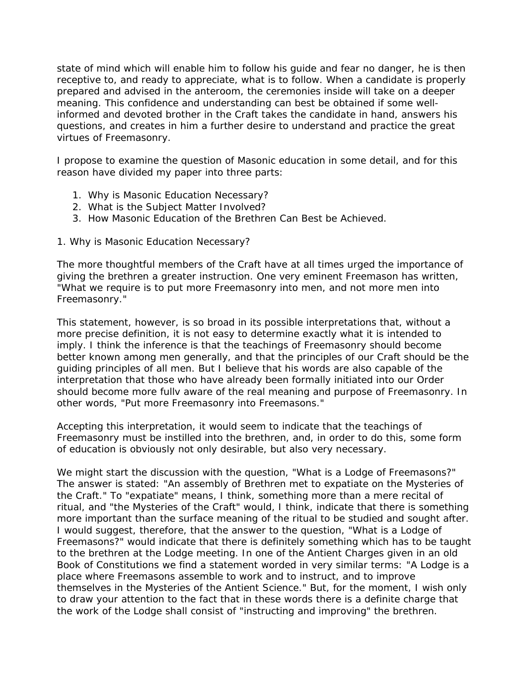state of mind which will enable him to follow his guide and fear no danger, he is then receptive to, and ready to appreciate, what is to follow. When a candidate is properly prepared and advised in the anteroom, the ceremonies inside will take on a deeper meaning. This confidence and understanding can best be obtained if some wellinformed and devoted brother in the Craft takes the candidate in hand, answers his questions, and creates in him a further desire to understand and practice the great virtues of Freemasonry.

I propose to examine the question of Masonic education in some detail, and for this reason have divided my paper into three parts:

- 1. Why is Masonic Education Necessary?
- 2. What is the Subject Matter Involved?
- 3. How Masonic Education of the Brethren Can Best be Achieved.

## *1. Why is Masonic Education Necessary?*

The more thoughtful members of the Craft have at all times urged the importance of giving the brethren a greater instruction. One very eminent Freemason has written, "What we require is to put more Freemasonry into men, and not more men into Freemasonry."

This statement, however, is so broad in its possible interpretations that, without a more precise definition, it is not easy to determine exactly what it is intended to imply. I think the inference is that the teachings of Freemasonry should become better known among men generally, and that the principles of our Craft should be the guiding principles of all men. But I believe that his words are also capable of the interpretation that those who have already been formally initiated into our Order should become more fullv aware of the real meaning and purpose of Freemasonry. In other words, "Put more Freemasonry into Freemasons."

Accepting this interpretation, it would seem to indicate that the teachings of Freemasonry must be instilled into the brethren, and, in order to do this, some form of education is obviously not only desirable, but also very necessary.

We might start the discussion with the question, "What is a Lodge of Freemasons?" The answer is stated: "An assembly of Brethren met to expatiate on the Mysteries of the Craft." To "expatiate" means, I think, something more than a mere recital of ritual, and "the Mysteries of the Craft" would, I think, indicate that there is something more important than the surface meaning of the ritual to be studied and sought after. I would suggest, therefore, that the answer to the question, "What is a Lodge of Freemasons?" would indicate that there is definitely something which has to be taught to the brethren at the Lodge meeting. In one of the Antient Charges given in an old Book of Constitutions we find a statement worded in very similar terms: "A Lodge is a place where Freemasons assemble to work and to instruct, and to improve themselves in the Mysteries of the Antient Science." But, for the moment, I wish only to draw your attention to the fact that in these words there is a definite charge that the work of the Lodge shall consist of "instructing and improving" the brethren.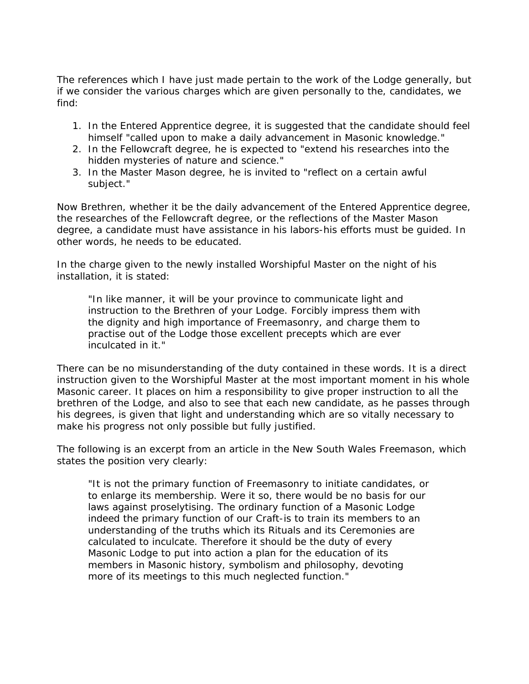The references which I have just made pertain to the work of the Lodge generally, but if we consider the various charges which are given personally to the, candidates, we find:

- 1. In the Entered Apprentice degree, it is suggested that the candidate should feel himself "called upon to make a daily advancement in Masonic knowledge."
- 2. In the Fellowcraft degree, he is expected to "extend his researches into the hidden mysteries of nature and science."
- 3. In the Master Mason degree, he is invited to "reflect on a certain awful subject."

Now Brethren, whether it be the daily advancement of the Entered Apprentice degree, the researches of the Fellowcraft degree, or the reflections of the Master Mason degree, a candidate must have assistance in his labors-his efforts must be guided. In other words, he needs to be educated.

In the charge given to the newly installed Worshipful Master on the night of his installation, it is stated:

"In like manner, it will be your province to communicate light and instruction to the Brethren of your Lodge. Forcibly impress them with the dignity and high importance of Freemasonry, and charge them to practise out of the Lodge those excellent precepts which are ever inculcated in it."

There can be no misunderstanding of the duty contained in these words. It is a direct instruction given to the Worshipful Master at the most important moment in his whole Masonic career. It places on him a responsibility to give proper instruction to all the brethren of the Lodge, and also to see that each new candidate, as he passes through his degrees, is given that light and understanding which are so vitally necessary to make his progress not only possible but fully justified.

The following is an excerpt from an article in the New South Wales Freemason, which states the position very clearly:

"It is not the primary function of Freemasonry to initiate candidates, or to enlarge its membership. Were it so, there would be no basis for our laws against proselytising. The ordinary function of a Masonic Lodge indeed the primary function of our Craft-is to train its members to an understanding of the truths which its Rituals and its Ceremonies are calculated to inculcate. Therefore it should be the duty of every Masonic Lodge to put into action a plan for the education of its members in Masonic history, symbolism and philosophy, devoting more of its meetings to this much neglected function."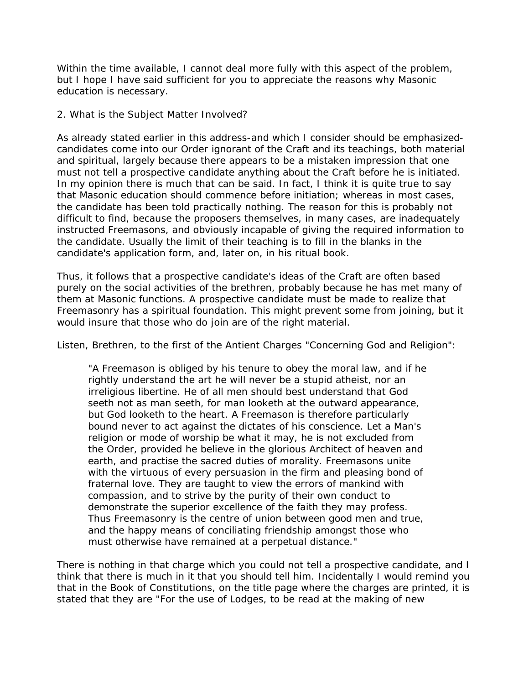Within the time available, I cannot deal more fully with this aspect of the problem, but I hope I have said sufficient for you to appreciate the reasons why Masonic education is necessary.

# *2. What is the Subject Matter Involved?*

As already stated earlier in this address-and which I consider should be emphasizedcandidates come into our Order ignorant of the Craft and its teachings, both material and spiritual, largely because there appears to be a mistaken impression that one must not tell a prospective candidate anything about the Craft before he is initiated. In my opinion there is much that can be said. In fact, I think it is quite true to say that Masonic education should commence before initiation; whereas in most cases, the candidate has been told practically nothing. The reason for this is probably not difficult to find, because the proposers themselves, in many cases, are inadequately instructed Freemasons, and obviously incapable of giving the required information to the candidate. Usually the limit of their teaching is to fill in the blanks in the candidate's application form, and, later on, in his ritual book.

Thus, it follows that a prospective candidate's ideas of the Craft are often based purely on the social activities of the brethren, probably because he has met many of them at Masonic functions. A prospective candidate must be made to realize that Freemasonry has a spiritual foundation. This might prevent some from joining, but it would insure that those who do join are of the right material.

Listen, Brethren, to the first of the Antient Charges "Concerning God and Religion":

"A Freemason is obliged by his tenure to obey the moral law, and if he rightly understand the art he will never be a stupid atheist, nor an irreligious libertine. He of all men should best understand that God seeth not as man seeth, for man looketh at the outward appearance, but God looketh to the heart. A Freemason is therefore particularly bound never to act against the dictates of his conscience. Let a Man's religion or mode of worship be what it may, he is not excluded from the Order, provided he believe in the glorious Architect of heaven and earth, and practise the sacred duties of morality. Freemasons unite with the virtuous of every persuasion in the firm and pleasing bond of fraternal love. They are taught to view the errors of mankind with compassion, and to strive by the purity of their own conduct to demonstrate the superior excellence of the faith they may profess. Thus Freemasonry is the centre of union between good men and true, and the happy means of conciliating friendship amongst those who must otherwise have remained at a perpetual distance."

There is nothing in that charge which you could not tell a prospective candidate, and I think that there is much in it that you should tell him. Incidentally I would remind you that in the Book of Constitutions, on the title page where the charges are printed, it is stated that they are "For the use of Lodges, to be read at the making of new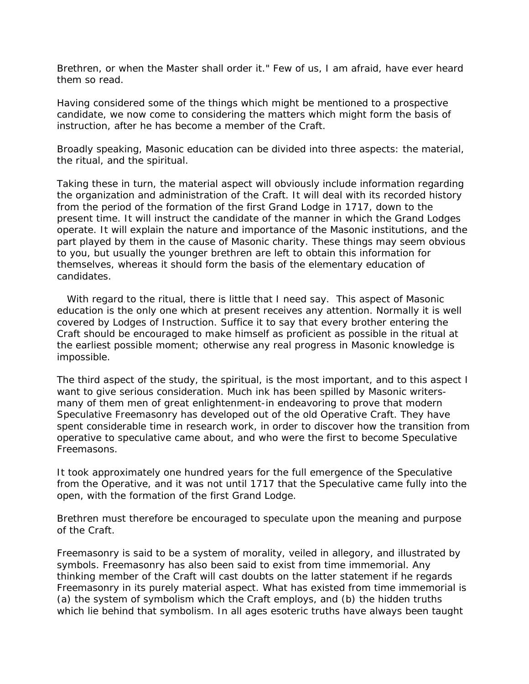Brethren, or when the Master shall order it." Few of us, I am afraid, have ever heard them so read.

Having considered some of the things which might be mentioned to a prospective candidate, we now come to considering the matters which might form the basis of instruction, after he has become a member of the Craft.

Broadly speaking, Masonic education can be divided into three aspects: the material, the ritual, and the spiritual.

Taking these in turn, the material aspect will obviously include information regarding the organization and administration of the Craft. It will deal with its recorded history from the period of the formation of the first Grand Lodge in 1717, down to the present time. It will instruct the candidate of the manner in which the Grand Lodges operate. It will explain the nature and importance of the Masonic institutions, and the part played by them in the cause of Masonic charity. These things may seem obvious to you, but usually the younger brethren are left to obtain this information for themselves, whereas it should form the basis of the elementary education of candidates.

 With regard to the *ritual*, there is little that I need say. This aspect of Masonic education is the only one which at present receives any attention. Normally it is well covered by Lodges of Instruction. Suffice it to say that every brother entering the Craft should be encouraged to make himself as proficient as possible in the ritual at the earliest possible moment; otherwise any real progress in Masonic knowledge is impossible.

The third aspect of the study, the spiritual, is the most important, and to this aspect I want to give serious consideration. Much ink has been spilled by Masonic writersmany of them men of great enlightenment-in endeavoring to prove that modern Speculative Freemasonry has developed out of the old Operative Craft. They have spent considerable time in research work, in order to discover how the transition from operative to speculative came about, and who were the first to become Speculative Freemasons.

It took approximately one hundred years for the full emergence of the Speculative from the Operative, and it was not until 1717 that the Speculative came fully into the open, with the formation of the first Grand Lodge.

Brethren must therefore be encouraged to speculate upon the meaning and purpose of the Craft.

Freemasonry is said to be a system of morality, veiled in allegory, and illustrated by symbols. Freemasonry has also been said to exist from time immemorial. Any thinking member of the Craft will cast doubts on the latter statement if he regards Freemasonry in its purely material aspect. What has existed from time immemorial is (a) the system of symbolism which the Craft employs, and (b) the hidden truths which lie behind that symbolism. In all ages esoteric truths have always been taught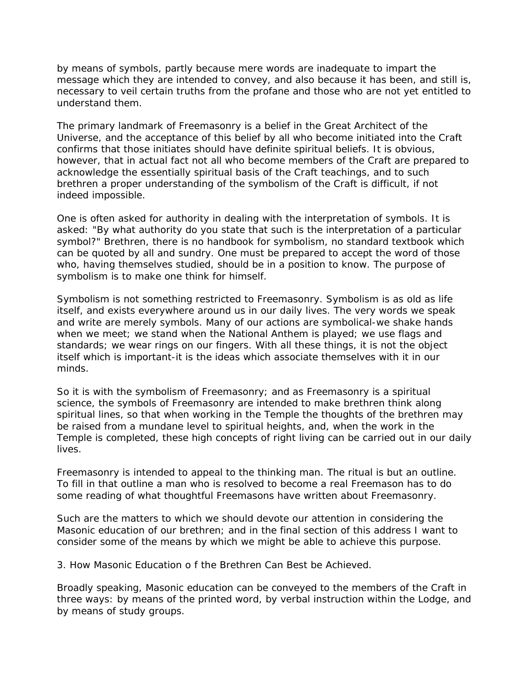by means of symbols, partly because mere words are inadequate to impart the message which they are intended to convey, and also because it has been, and still is, necessary to veil certain truths from the profane and those who are not yet entitled to understand them.

The primary landmark of Freemasonry is a belief in the Great Architect of the Universe, and the acceptance of this belief by all who become initiated into the Craft confirms that those initiates should have definite spiritual beliefs. It is obvious, however, that in actual fact not all who become members of the Craft are prepared to acknowledge the essentially spiritual basis of the Craft teachings, and to such brethren a proper understanding of the symbolism of the Craft is difficult, if not indeed impossible.

One is often asked for authority in dealing with the interpretation of symbols. It is asked: "By what authority do you state that such is the interpretation of a particular symbol?" Brethren, there is no handbook for symbolism, no standard textbook which can be quoted by all and sundry. One must be prepared to accept the word of those who, having themselves studied, should be in a position to know. The purpose of symbolism is to make one think for himself.

Symbolism is not something restricted to Freemasonry. Symbolism is as old as life itself, and exists everywhere around us in our daily lives. The very words we speak and write are merely symbols. Many of our actions are symbolical-we shake hands when we meet; we stand when the National Anthem is played; we use flags and standards; we wear rings on our fingers. With all these things, it is not the object itself which is important-it is the ideas which associate themselves with it in our minds.

So it is with the symbolism of Freemasonry; and as Freemasonry is a spiritual science, the symbols of Freemasonry are intended to make brethren think along spiritual lines, so that when working in the Temple the thoughts of the brethren may be raised from a mundane level to spiritual heights, and, when the work in the Temple is completed, these high concepts of right living can be carried out in our daily lives.

Freemasonry is intended to appeal to the thinking man. The ritual is but an outline. To fill in that outline a man who is resolved to become a real Freemason has to do some reading of what thoughtful Freemasons have written about Freemasonry.

Such are the matters to which we should devote our attention in considering the Masonic education of our brethren; and in the final section of this address I want to consider some of the means by which we might be able to achieve this purpose.

## *3. How Masonic Education o f the Brethren Can Best be Achieved.*

Broadly speaking, Masonic education can be conveyed to the members of the Craft in three ways: by means of the printed word, by verbal instruction within the Lodge, and by means of study groups.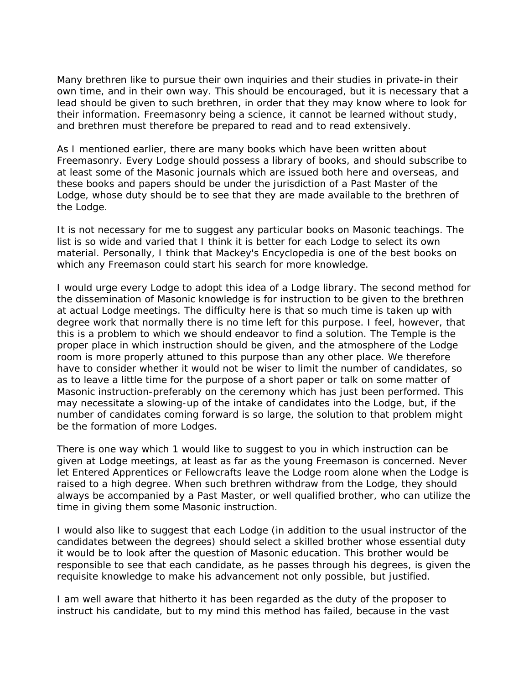Many brethren like to pursue their own inquiries and their studies in private-in their own time, and in their own way. This should be encouraged, but it is necessary that a lead should be given to such brethren, in order that they may know where to look for their information. Freemasonry being a science, it cannot be learned without study, and brethren must therefore be prepared to read and to read extensively.

As I mentioned earlier, there are many books which have been written about Freemasonry. Every Lodge should possess a library of books, and should subscribe to at least some of the Masonic journals which are issued both here and overseas, and these books and papers should be under the jurisdiction of a Past Master of the Lodge, whose duty should be to see that they are made available to the brethren of the Lodge.

It is not necessary for me to suggest any particular books on Masonic teachings. The list is so wide and varied that I think it is better for each Lodge to select its own material. Personally, I think that Mackey's Encyclopedia is one of the best books on which any Freemason could start his search for more knowledge.

I would urge every Lodge to adopt this idea of a Lodge library. The second method for the dissemination of Masonic knowledge is for instruction to be given to the brethren at actual Lodge meetings. The difficulty here is that so much time is taken up with degree work that normally there is no time left for this purpose. I feel, however, that this is a problem to which we should endeavor to find a solution. The Temple is the proper place in which instruction should be given, and the atmosphere of the Lodge room is more properly attuned to this purpose than any other place. We therefore have to consider whether it would not be wiser to limit the number of candidates, so as to leave a little time for the purpose of a short paper or talk on some matter of Masonic instruction-preferably on the ceremony which has just been performed. This may necessitate a slowing-up of the intake of candidates into the Lodge, but, if the number of candidates coming forward is so large, the solution to that problem might be the formation of more Lodges.

There is one way which 1 would like to suggest to you in which instruction can be given at Lodge meetings, at least as far as the young Freemason is concerned. Never let Entered Apprentices or Fellowcrafts leave the Lodge room alone when the Lodge is raised to a high degree. When such brethren withdraw from the Lodge, they should always be accompanied by a Past Master, or well qualified brother, who can utilize the time in giving them some Masonic instruction.

I would also like to suggest that each Lodge (in addition to the usual instructor of the candidates between the degrees) should select a skilled brother whose essential duty it would be to look after the question of Masonic education. This brother would be responsible to see that each candidate, as he passes through his degrees, is given the requisite knowledge to make his advancement not only possible, but justified.

I am well aware that hitherto it has been regarded as the duty of the proposer to instruct his candidate, but to my mind this method has failed, because in the vast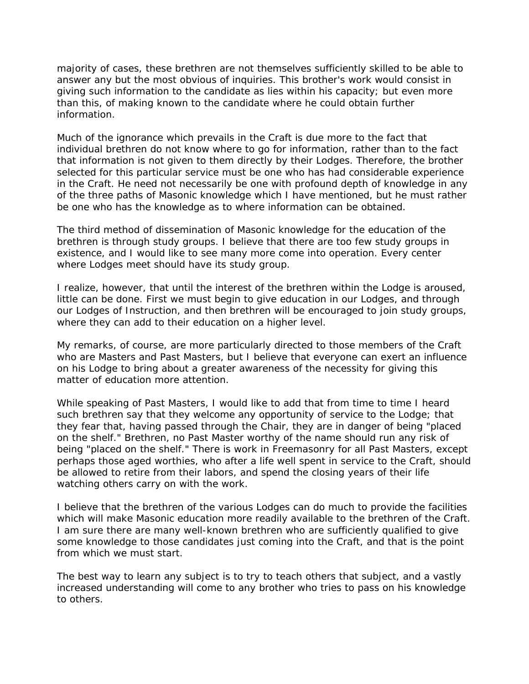majority of cases, these brethren are not themselves sufficiently skilled to be able to answer any but the most obvious of inquiries. This brother's work would consist in giving such information to the candidate as lies within his capacity; but even more than this, of making known to the candidate where he could obtain further information.

Much of the ignorance which prevails in the Craft is due more to the fact that individual brethren do not know where to go for information, rather than to the fact that information is not given to them directly by their Lodges. Therefore, the brother selected for this particular service must be one who has had considerable experience in the Craft. He need not necessarily be one with profound depth of knowledge in any of the three paths of Masonic knowledge which I have mentioned, but he must rather be one who has the knowledge as to where information can be obtained.

The third method of dissemination of Masonic knowledge for the education of the brethren is through study groups. I believe that there are too few study groups in existence, and I would like to see many more come into operation. Every center where Lodges meet should have its study group.

I realize, however, that until the interest of the brethren within the Lodge is aroused, little can be done. First we must begin to give education in our Lodges, and through our Lodges of Instruction, and then brethren will be encouraged to join study groups, where they can add to their education on a higher level.

My remarks, of course, are more particularly directed to those members of the Craft who are Masters and Past Masters, but I believe that everyone can exert an influence on his Lodge to bring about a greater awareness of the necessity for giving this matter of education more attention.

While speaking of Past Masters, I would like to add that from time to time I heard such brethren say that they welcome any opportunity of service to the Lodge; that they fear that, having passed through the Chair, they are in danger of being "placed on the shelf." Brethren, no Past Master worthy of the name should run any risk of being "placed on the shelf." There is work in Freemasonry for all Past Masters, except perhaps those aged worthies, who after a life well spent in service to the Craft, should be allowed to retire from their labors, and spend the closing years of their life watching others carry on with the work.

I believe that the brethren of the various Lodges can do much to provide the facilities which will make Masonic education more readily available to the brethren of the Craft. I am sure there are many well-known brethren who are sufficiently qualified to give some knowledge to those candidates just coming into the Craft, and that is the point from which we must start.

The best way to learn any subject is to try to teach others that subject, and a vastly increased understanding will come to any brother who tries to pass on his knowledge to others.